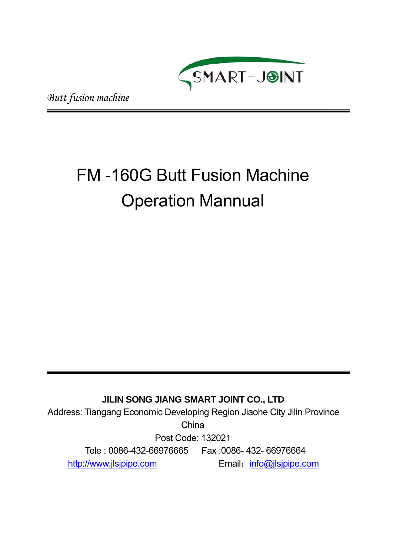

*Butt fusion machine*

# FM -160G Butt Fusion Machine Operation Mannual

# **JILIN SONG JIANG SMART JOINT CO., LTD**

Address: Tiangang Economic Developing Region Jiaohe City Jilin Province

**China** 

Post Code: 132021

Tele : 0086-432-66976665 Fax :0086- 432- 66976664

http://www.jlsjpipe.com Email: info@jlsjpipe.com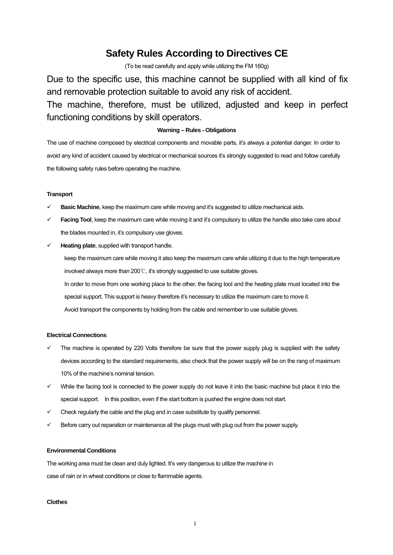# **Safety Rules According to Directives CE**

(To be read carefully and apply while utilizing the FM 160g)

Due to the specific use, this machine cannot be supplied with all kind of fix and removable protection suitable to avoid any risk of accident. The machine, therefore, must be utilized, adjusted and keep in perfect functioning conditions by skill operators.

# **Warning – Rules - Obligations**

The use of machine composed by electrical components and movable parts, it's always a potential danger. In order to avoid any kind of accident caused by electrical or mechanical sources it's strongly suggested to read and follow carefully the following safety rules before operating the machine.

#### **Transport**

- **Basic Machine**, keep the maximum care while moving and it's suggested to utilize mechanical aids.
- Facing Tool, keep the maximum care while moving it and it's compulsory to utilize the handle also take care about the blades mounted in, it's compulsory use gloves.
- $\checkmark$  **Heating plate**, supplied with transport handle.

keep the maximum care while moving it also keep the maximum care while utilizing it due to the high temperature involved always more than 200℃, it's strongly suggested to use suitable gloves. In order to move from one working place to the other, the facing tool and the heating plate must located into the special support. This support is heavy therefore it's necessary to utilize the maximum care to move it. Avoid transport the components by holding from the cable and remember to use suitable gloves.

#### **Electrical Connections**

- The machine is operated by 220 Volts therefore be sure that the power supply plug is supplied with the safety devices according to the standard requirements, also check that the power supply will be on the rang of maximum 10% of the machine's nominal tension.
- $\checkmark$  While the facing tool is connected to the power supply do not leave it into the basic machine but place it into the special support. In this position, even if the start bottom is pushed the engine does not start.
- $\checkmark$  Check regularly the cable and the plug and in case substitute by qualify personnel.
- Before carry out reparation or maintenance all the plugs must with plug out from the power supply.

# **Environmental Conditions**

The working area must be clean and duly lighted. It's very dangerous to utilize the machine in case of rain or in wheat conditions or close to flammable agents.

#### **Clothes**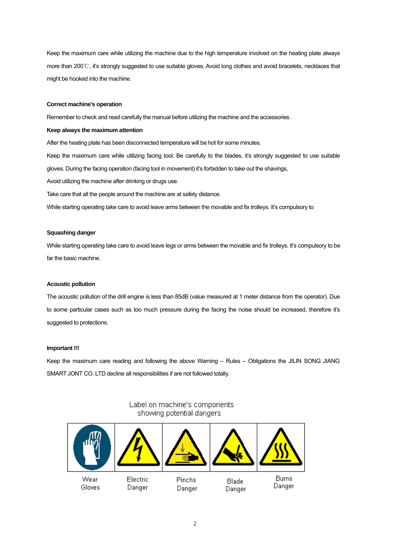Keep the maximum care while utilizing the machine due to the high temperature involved on the heating plate always more than 200℃, it's strongly suggested to use suitable gloves. Avoid long clothes and avoid bracelets, necklaces that might be hooked into the machine.

#### **Correct machine's operation**

Remember to check and read carefully the manual before utilizing the machine and the accessories.

#### **Keep always the maximum attention**

After the heating plate has been disconnected temperature will be hot for some minutes.

Keep the maximum care while utilizing facing tool. Be carefully to the blades, it's strongly suggested to use suitable gloves. During the facing operation (facing tool in movement) it's forbidden to take out the shavings,

Avoid utilizing the machine after drinking or drugs use.

Take care that all the people around the machine are at safety distance.

While starting operating take care to avoid leave arms between the movable and fix trolleys. It's compulsory to

#### **Squashing danger**

While starting operating take care to avoid leave legs or arms between the movable and fix trolleys. It's compulsory to be far the basic machine.

#### **Acoustic pollution**

The acoustic pollution of the drill engine is less than 85dB (value measured at 1 meter distance from the operator). Due to some particular cases such as too much pressure during the facing the noise should be increased, therefore it's suggested to protections.

#### **Important !!!**

Keep the maximum care reading and following the above Warning – Rules – Obligations the JILIN SONG JIANG SMART JONT CO. LTD decline all responsibilities if are not followed totally.

#### **Burns** Wear Electric Pinchs **Blade** Gloves Danger Danger Danger Danger

# Label on machine's components showing potential dangers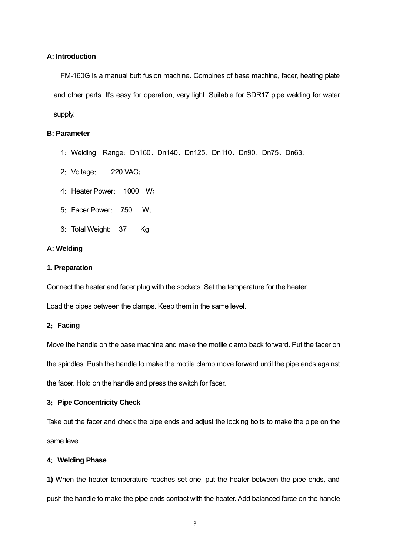# **A: Introduction**

FM-160G is a manual butt fusion machine. Combines of base machine, facer, heating plate and other parts. It's easy for operation, very light. Suitable for SDR17 pipe welding for water supply.

# **B: Parameter**

- 1:Welding Range:Dn160、Dn140、Dn125、Dn110、Dn90、Dn75、Dn63;
- 2: Voltage: 220 VAC;
- 4: Heater Power: 1000 W;
- 5:Facer Power: 750 W;
- 6: Total Weight: 37 Kg

# **A: Welding**

# **1**. **Preparation**

Connect the heater and facer plug with the sockets. Set the temperature for the heater.

Load the pipes between the clamps. Keep them in the same level.

# **2**:**Facing**

Move the handle on the base machine and make the motile clamp back forward. Put the facer on the spindles. Push the handle to make the motile clamp move forward until the pipe ends against the facer. Hold on the handle and press the switch for facer.

# **3**:**Pipe Concentricity Check**

Take out the facer and check the pipe ends and adjust the locking bolts to make the pipe on the same level.

# **4**:**Welding Phase**

**1)** When the heater temperature reaches set one, put the heater between the pipe ends, and push the handle to make the pipe ends contact with the heater. Add balanced force on the handle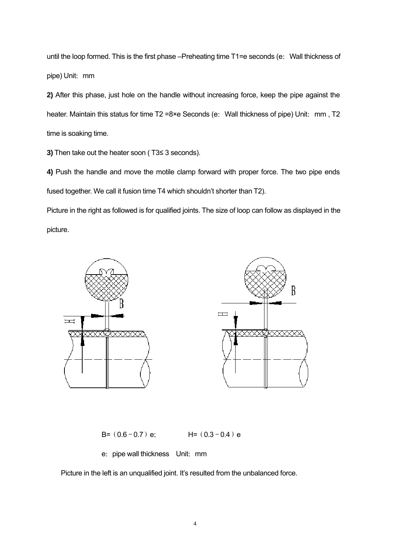until the loop formed. This is the first phase –Preheating time T1=e seconds (e: Wall thickness of pipe) Unit: mm

**2)** After this phase, just hole on the handle without increasing force, keep the pipe against the heater. Maintain this status for time T2 =8×e Seconds (e: Wall thickness of pipe) Unit: mm, T2 time is soaking time.

**3)** Then take out the heater soon ( T3≤ 3 seconds).

**4)** Push the handle and move the motile clamp forward with proper force. The two pipe ends fused together. We call it fusion time T4 which shouldn't shorter than T2).

Picture in the right as followed is for qualified joints. The size of loop can follow as displayed in the picture.



B=  $(0.6 \sim 0.7)$  e; H=  $(0.3 \sim 0.4)$  e

e: pipe wall thickness Unit: mm

Picture in the left is an unqualified joint. It's resulted from the unbalanced force.